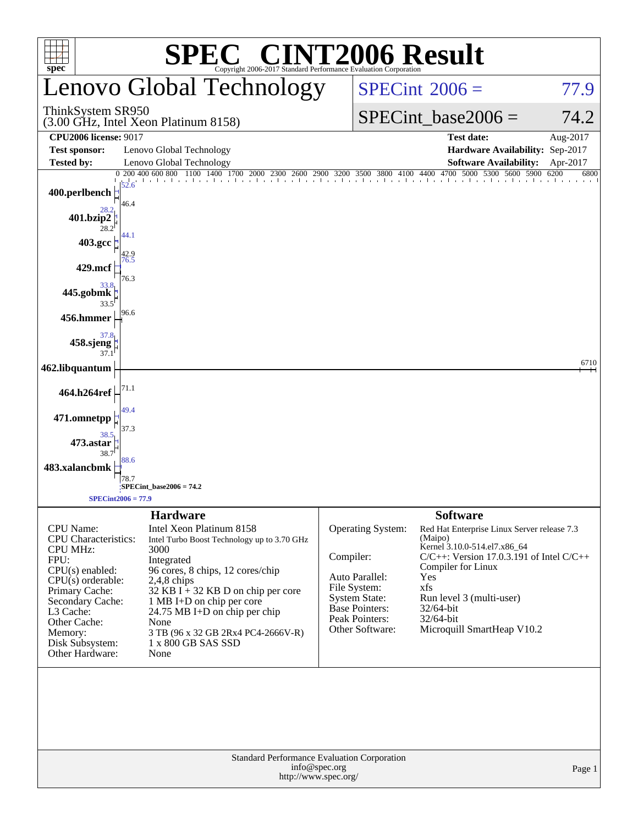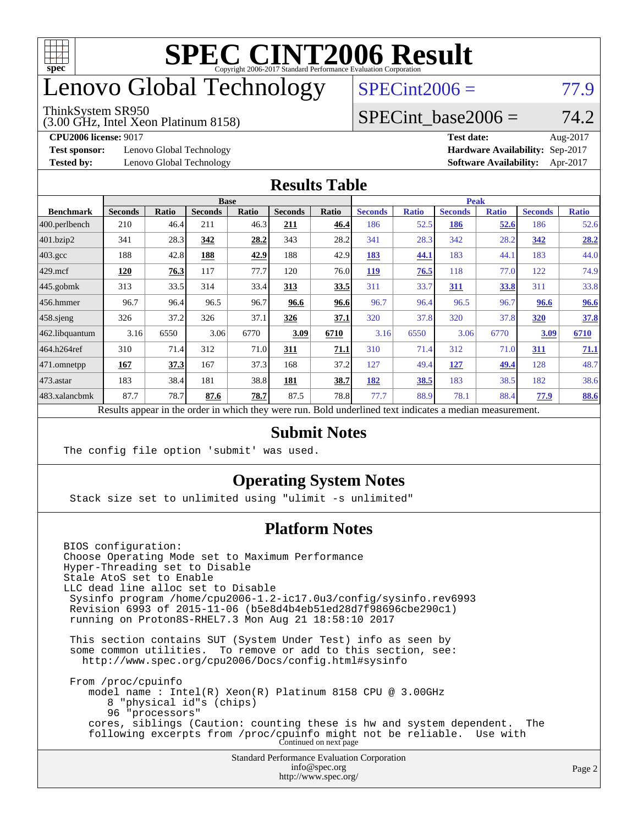

# enovo Global Technology

#### ThinkSystem SR950

(3.00 GHz, Intel Xeon Platinum 8158)

 $SPECint2006 = 77.9$  $SPECint2006 = 77.9$ 

#### SPECint base2006 =  $74.2$

**[Test sponsor:](http://www.spec.org/auto/cpu2006/Docs/result-fields.html#Testsponsor)** Lenovo Global Technology **[Hardware Availability:](http://www.spec.org/auto/cpu2006/Docs/result-fields.html#HardwareAvailability)** Sep-2017

**[CPU2006 license:](http://www.spec.org/auto/cpu2006/Docs/result-fields.html#CPU2006license)** 9017 **[Test date:](http://www.spec.org/auto/cpu2006/Docs/result-fields.html#Testdate)** Aug-2017 **[Tested by:](http://www.spec.org/auto/cpu2006/Docs/result-fields.html#Testedby)** Lenovo Global Technology **[Software Availability:](http://www.spec.org/auto/cpu2006/Docs/result-fields.html#SoftwareAvailability)** Apr-2017

#### **[Results Table](http://www.spec.org/auto/cpu2006/Docs/result-fields.html#ResultsTable)**

|                  | <b>Base</b>                                                                                              |              |                |              |                |             | Peak           |              |                |              |                |              |
|------------------|----------------------------------------------------------------------------------------------------------|--------------|----------------|--------------|----------------|-------------|----------------|--------------|----------------|--------------|----------------|--------------|
| <b>Benchmark</b> | <b>Seconds</b>                                                                                           | <b>Ratio</b> | <b>Seconds</b> | <b>Ratio</b> | <b>Seconds</b> | Ratio       | <b>Seconds</b> | <b>Ratio</b> | <b>Seconds</b> | <b>Ratio</b> | <b>Seconds</b> | <b>Ratio</b> |
| 400.perlbench    | 210                                                                                                      | 46.4         | 211            | 46.3         | 211            | 46.4        | 186            | 52.5         | 186            | 52.6         | 186            | 52.6         |
| 401.bzip2        | 341                                                                                                      | 28.3         | 342            | 28.2         | 343            | 28.2        | 341            | 28.3         | 342            | 28.2         | 342            | 28.2         |
| $403.\text{gcc}$ | 188                                                                                                      | 42.8         | 188            | 42.9         | 188            | 42.9        | 183            | 44.1         | 183            | 44.1         | 183            | 44.0         |
| $429$ mcf        | 120                                                                                                      | 76.3         | 117            | 77.7         | 120            | 76.0        | <b>119</b>     | 76.5         | 118            | 77.0         | 122            | 74.9         |
| $445$ .gobmk     | 313                                                                                                      | 33.5         | 314            | 33.4         | 313            | <u>33.5</u> | 311            | 33.7         | 311            | 33.8         | 311            | 33.8         |
| $456.$ hmmer     | 96.7                                                                                                     | 96.4         | 96.5           | 96.7         | 96.6           | 96.6        | 96.7           | 96.4         | 96.5           | 96.7         | 96.6           | 96.6         |
| $458$ .sjeng     | 326                                                                                                      | 37.2         | 326            | 37.1         | 326            | 37.1        | 320            | 37.8         | 320            | 37.8         | 320            | 37.8         |
| 462.libquantum   | 3.16                                                                                                     | 6550         | 3.06           | 6770         | 3.09           | 6710        | 3.16           | 6550         | 3.06           | 6770         | 3.09           | 6710         |
| 464.h264ref      | 310                                                                                                      | 71.4         | 312            | 71.0         | 311            | 71.1        | 310            | 71.4         | 312            | 71.0         | 311            | 71.1         |
| 471.omnetpp      | 167                                                                                                      | 37.3         | 167            | 37.3         | 168            | 37.2        | 127            | 49.4         | <u>127</u>     | 49.4         | 128            | 48.7         |
| $473$ . astar    | 183                                                                                                      | 38.4         | 181            | 38.8         | 181            | 38.7        | 182            | 38.5         | 183            | 38.5         | 182            | 38.6         |
| 483.xalancbmk    | 87.7                                                                                                     | 78.7         | 87.6           | 78.7         | 87.5           | 78.8        | 77.7           | 88.9         | 78.1           | 88.4         | 77.9           | 88.6         |
|                  | Results appear in the order in which they were run. Bold underlined text indicates a median measurement. |              |                |              |                |             |                |              |                |              |                |              |

#### **[Submit Notes](http://www.spec.org/auto/cpu2006/Docs/result-fields.html#SubmitNotes)**

The config file option 'submit' was used.

#### **[Operating System Notes](http://www.spec.org/auto/cpu2006/Docs/result-fields.html#OperatingSystemNotes)**

Stack size set to unlimited using "ulimit -s unlimited"

#### **[Platform Notes](http://www.spec.org/auto/cpu2006/Docs/result-fields.html#PlatformNotes)**

Standard Performance Evaluation Corporation [info@spec.org](mailto:info@spec.org) BIOS configuration: Choose Operating Mode set to Maximum Performance Hyper-Threading set to Disable Stale AtoS set to Enable LLC dead line alloc set to Disable Sysinfo program /home/cpu2006-1.2-ic17.0u3/config/sysinfo.rev6993 Revision 6993 of 2015-11-06 (b5e8d4b4eb51ed28d7f98696cbe290c1) running on Proton8S-RHEL7.3 Mon Aug 21 18:58:10 2017 This section contains SUT (System Under Test) info as seen by some common utilities. To remove or add to this section, see: <http://www.spec.org/cpu2006/Docs/config.html#sysinfo> From /proc/cpuinfo model name : Intel(R) Xeon(R) Platinum 8158 CPU @ 3.00GHz 8 "physical id"s (chips) 96 "processors" cores, siblings (Caution: counting these is hw and system dependent. The following excerpts from /proc/cpuinfo might not be reliable. Use with Continued on next page

<http://www.spec.org/>

Page 2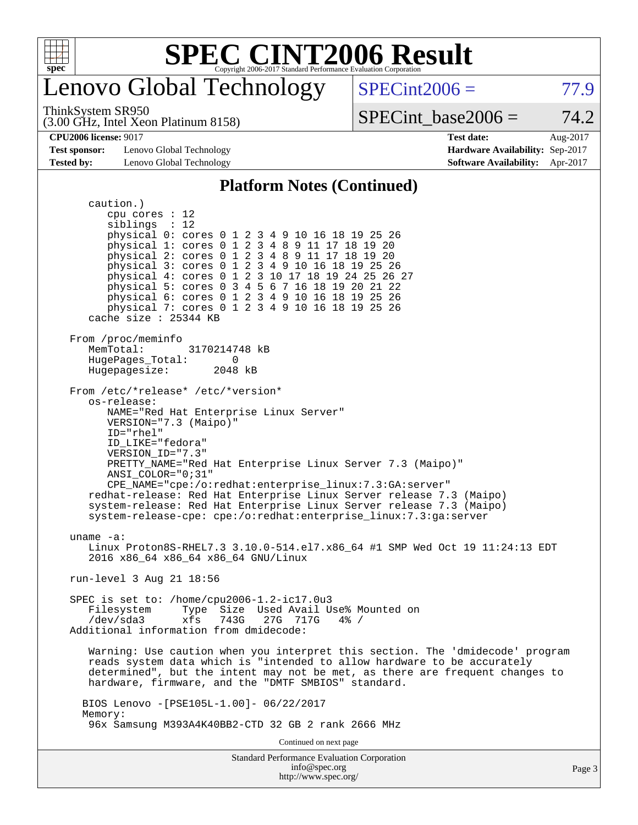

### enovo Global Technology

ThinkSystem SR950

(3.00 GHz, Intel Xeon Platinum 8158)

 $SPECint2006 = 77.9$  $SPECint2006 = 77.9$ 

SPECint base2006 =  $74.2$ 

**[Test sponsor:](http://www.spec.org/auto/cpu2006/Docs/result-fields.html#Testsponsor)** Lenovo Global Technology **[Hardware Availability:](http://www.spec.org/auto/cpu2006/Docs/result-fields.html#HardwareAvailability)** Sep-2017 **[Tested by:](http://www.spec.org/auto/cpu2006/Docs/result-fields.html#Testedby)** Lenovo Global Technology **[Software Availability:](http://www.spec.org/auto/cpu2006/Docs/result-fields.html#SoftwareAvailability)** Apr-2017

**[CPU2006 license:](http://www.spec.org/auto/cpu2006/Docs/result-fields.html#CPU2006license)** 9017 **[Test date:](http://www.spec.org/auto/cpu2006/Docs/result-fields.html#Testdate)** Aug-2017

#### **[Platform Notes \(Continued\)](http://www.spec.org/auto/cpu2006/Docs/result-fields.html#PlatformNotes)**

Standard Performance Evaluation Corporation caution.) cpu cores : 12 siblings : 12 physical 0: cores 0 1 2 3 4 9 10 16 18 19 25 26 physical 1: cores 0 1 2 3 4 8 9 11 17 18 19 20 physical 2: cores 0 1 2 3 4 8 9 11 17 18 19 20 physical 3: cores 0 1 2 3 4 9 10 16 18 19 25 26 physical 4: cores 0 1 2 3 10 17 18 19 24 25 26 27 physical 5: cores 0 3 4 5 6 7 16 18 19 20 21 22 physical 6: cores 0 1 2 3 4 9 10 16 18 19 25 26 physical 7: cores 0 1 2 3 4 9 10 16 18 19 25 26 cache size : 25344 KB From /proc/meminfo<br>MemTotal: 3170214748 kB HugePages\_Total: 0<br>Hugepagesize: 2048 kB Hugepagesize: From /etc/\*release\* /etc/\*version\* os-release: NAME="Red Hat Enterprise Linux Server" VERSION="7.3 (Maipo)" ID="rhel" ID\_LIKE="fedora" VERSION\_ID="7.3" PRETTY\_NAME="Red Hat Enterprise Linux Server 7.3 (Maipo)" ANSI\_COLOR="0;31" CPE\_NAME="cpe:/o:redhat:enterprise\_linux:7.3:GA:server" redhat-release: Red Hat Enterprise Linux Server release 7.3 (Maipo) system-release: Red Hat Enterprise Linux Server release 7.3 (Maipo) system-release-cpe: cpe:/o:redhat:enterprise\_linux:7.3:ga:server uname -a: Linux Proton8S-RHEL7.3 3.10.0-514.el7.x86 64 #1 SMP Wed Oct 19 11:24:13 EDT 2016 x86\_64 x86\_64 x86\_64 GNU/Linux run-level 3 Aug 21 18:56 SPEC is set to: /home/cpu2006-1.2-ic17.0u3 Filesystem Type Size Used Avail Use% Mounted on<br>
/dev/sda3 xfs 743G 27G 717G 4% / /dev/sda3 xfs 743G 27G 717G 4% / Additional information from dmidecode: Warning: Use caution when you interpret this section. The 'dmidecode' program reads system data which is "intended to allow hardware to be accurately determined", but the intent may not be met, as there are frequent changes to hardware, firmware, and the "DMTF SMBIOS" standard. BIOS Lenovo -[PSE105L-1.00]- 06/22/2017 Memory: 96x Samsung M393A4K40BB2-CTD 32 GB 2 rank 2666 MHz Continued on next page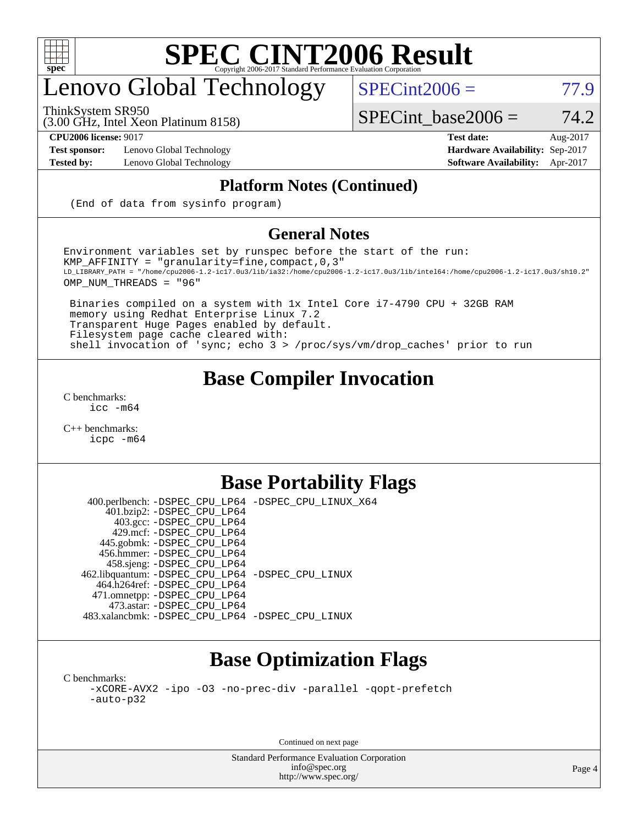

# enovo Global Technology

ThinkSystem SR950

 $SPECint2006 = 77.9$  $SPECint2006 = 77.9$ 

(3.00 GHz, Intel Xeon Platinum 8158)

 $SPECTnt\_base2006 = 74.2$ 

**[Test sponsor:](http://www.spec.org/auto/cpu2006/Docs/result-fields.html#Testsponsor)** Lenovo Global Technology **[Hardware Availability:](http://www.spec.org/auto/cpu2006/Docs/result-fields.html#HardwareAvailability)** Sep-2017

**[CPU2006 license:](http://www.spec.org/auto/cpu2006/Docs/result-fields.html#CPU2006license)** 9017 **[Test date:](http://www.spec.org/auto/cpu2006/Docs/result-fields.html#Testdate)** Aug-2017 **[Tested by:](http://www.spec.org/auto/cpu2006/Docs/result-fields.html#Testedby)** Lenovo Global Technology **[Software Availability:](http://www.spec.org/auto/cpu2006/Docs/result-fields.html#SoftwareAvailability)** Apr-2017

#### **[Platform Notes \(Continued\)](http://www.spec.org/auto/cpu2006/Docs/result-fields.html#PlatformNotes)**

(End of data from sysinfo program)

#### **[General Notes](http://www.spec.org/auto/cpu2006/Docs/result-fields.html#GeneralNotes)**

Environment variables set by runspec before the start of the run: KMP\_AFFINITY = "granularity=fine,compact,0,3" LD\_LIBRARY\_PATH = "/home/cpu2006-1.2-ic17.0u3/lib/ia32:/home/cpu2006-1.2-ic17.0u3/lib/intel64:/home/cpu2006-1.2-ic17.0u3/sh10.2" OMP\_NUM\_THREADS = "96"

 Binaries compiled on a system with 1x Intel Core i7-4790 CPU + 32GB RAM memory using Redhat Enterprise Linux 7.2 Transparent Huge Pages enabled by default. Filesystem page cache cleared with: shell invocation of 'sync; echo 3 > /proc/sys/vm/drop\_caches' prior to run

### **[Base Compiler Invocation](http://www.spec.org/auto/cpu2006/Docs/result-fields.html#BaseCompilerInvocation)**

[C benchmarks](http://www.spec.org/auto/cpu2006/Docs/result-fields.html#Cbenchmarks): [icc -m64](http://www.spec.org/cpu2006/results/res2017q4/cpu2006-20170917-49362.flags.html#user_CCbase_intel_icc_64bit_bda6cc9af1fdbb0edc3795bac97ada53)

[C++ benchmarks:](http://www.spec.org/auto/cpu2006/Docs/result-fields.html#CXXbenchmarks) [icpc -m64](http://www.spec.org/cpu2006/results/res2017q4/cpu2006-20170917-49362.flags.html#user_CXXbase_intel_icpc_64bit_fc66a5337ce925472a5c54ad6a0de310)

#### **[Base Portability Flags](http://www.spec.org/auto/cpu2006/Docs/result-fields.html#BasePortabilityFlags)**

 400.perlbench: [-DSPEC\\_CPU\\_LP64](http://www.spec.org/cpu2006/results/res2017q4/cpu2006-20170917-49362.flags.html#b400.perlbench_basePORTABILITY_DSPEC_CPU_LP64) [-DSPEC\\_CPU\\_LINUX\\_X64](http://www.spec.org/cpu2006/results/res2017q4/cpu2006-20170917-49362.flags.html#b400.perlbench_baseCPORTABILITY_DSPEC_CPU_LINUX_X64) 401.bzip2: [-DSPEC\\_CPU\\_LP64](http://www.spec.org/cpu2006/results/res2017q4/cpu2006-20170917-49362.flags.html#suite_basePORTABILITY401_bzip2_DSPEC_CPU_LP64) 403.gcc: [-DSPEC\\_CPU\\_LP64](http://www.spec.org/cpu2006/results/res2017q4/cpu2006-20170917-49362.flags.html#suite_basePORTABILITY403_gcc_DSPEC_CPU_LP64) 429.mcf: [-DSPEC\\_CPU\\_LP64](http://www.spec.org/cpu2006/results/res2017q4/cpu2006-20170917-49362.flags.html#suite_basePORTABILITY429_mcf_DSPEC_CPU_LP64) 445.gobmk: [-DSPEC\\_CPU\\_LP64](http://www.spec.org/cpu2006/results/res2017q4/cpu2006-20170917-49362.flags.html#suite_basePORTABILITY445_gobmk_DSPEC_CPU_LP64) 456.hmmer: [-DSPEC\\_CPU\\_LP64](http://www.spec.org/cpu2006/results/res2017q4/cpu2006-20170917-49362.flags.html#suite_basePORTABILITY456_hmmer_DSPEC_CPU_LP64) 458.sjeng: [-DSPEC\\_CPU\\_LP64](http://www.spec.org/cpu2006/results/res2017q4/cpu2006-20170917-49362.flags.html#suite_basePORTABILITY458_sjeng_DSPEC_CPU_LP64) 462.libquantum: [-DSPEC\\_CPU\\_LP64](http://www.spec.org/cpu2006/results/res2017q4/cpu2006-20170917-49362.flags.html#suite_basePORTABILITY462_libquantum_DSPEC_CPU_LP64) [-DSPEC\\_CPU\\_LINUX](http://www.spec.org/cpu2006/results/res2017q4/cpu2006-20170917-49362.flags.html#b462.libquantum_baseCPORTABILITY_DSPEC_CPU_LINUX) 464.h264ref: [-DSPEC\\_CPU\\_LP64](http://www.spec.org/cpu2006/results/res2017q4/cpu2006-20170917-49362.flags.html#suite_basePORTABILITY464_h264ref_DSPEC_CPU_LP64) 471.omnetpp: [-DSPEC\\_CPU\\_LP64](http://www.spec.org/cpu2006/results/res2017q4/cpu2006-20170917-49362.flags.html#suite_basePORTABILITY471_omnetpp_DSPEC_CPU_LP64) 473.astar: [-DSPEC\\_CPU\\_LP64](http://www.spec.org/cpu2006/results/res2017q4/cpu2006-20170917-49362.flags.html#suite_basePORTABILITY473_astar_DSPEC_CPU_LP64) 483.xalancbmk: [-DSPEC\\_CPU\\_LP64](http://www.spec.org/cpu2006/results/res2017q4/cpu2006-20170917-49362.flags.html#suite_basePORTABILITY483_xalancbmk_DSPEC_CPU_LP64) [-DSPEC\\_CPU\\_LINUX](http://www.spec.org/cpu2006/results/res2017q4/cpu2006-20170917-49362.flags.html#b483.xalancbmk_baseCXXPORTABILITY_DSPEC_CPU_LINUX)

### **[Base Optimization Flags](http://www.spec.org/auto/cpu2006/Docs/result-fields.html#BaseOptimizationFlags)**

[C benchmarks](http://www.spec.org/auto/cpu2006/Docs/result-fields.html#Cbenchmarks): [-xCORE-AVX2](http://www.spec.org/cpu2006/results/res2017q4/cpu2006-20170917-49362.flags.html#user_CCbase_f-xCORE-AVX2) [-ipo](http://www.spec.org/cpu2006/results/res2017q4/cpu2006-20170917-49362.flags.html#user_CCbase_f-ipo) [-O3](http://www.spec.org/cpu2006/results/res2017q4/cpu2006-20170917-49362.flags.html#user_CCbase_f-O3) [-no-prec-div](http://www.spec.org/cpu2006/results/res2017q4/cpu2006-20170917-49362.flags.html#user_CCbase_f-no-prec-div) [-parallel](http://www.spec.org/cpu2006/results/res2017q4/cpu2006-20170917-49362.flags.html#user_CCbase_f-parallel) [-qopt-prefetch](http://www.spec.org/cpu2006/results/res2017q4/cpu2006-20170917-49362.flags.html#user_CCbase_f-qopt-prefetch) [-auto-p32](http://www.spec.org/cpu2006/results/res2017q4/cpu2006-20170917-49362.flags.html#user_CCbase_f-auto-p32)

Continued on next page

Standard Performance Evaluation Corporation [info@spec.org](mailto:info@spec.org) <http://www.spec.org/>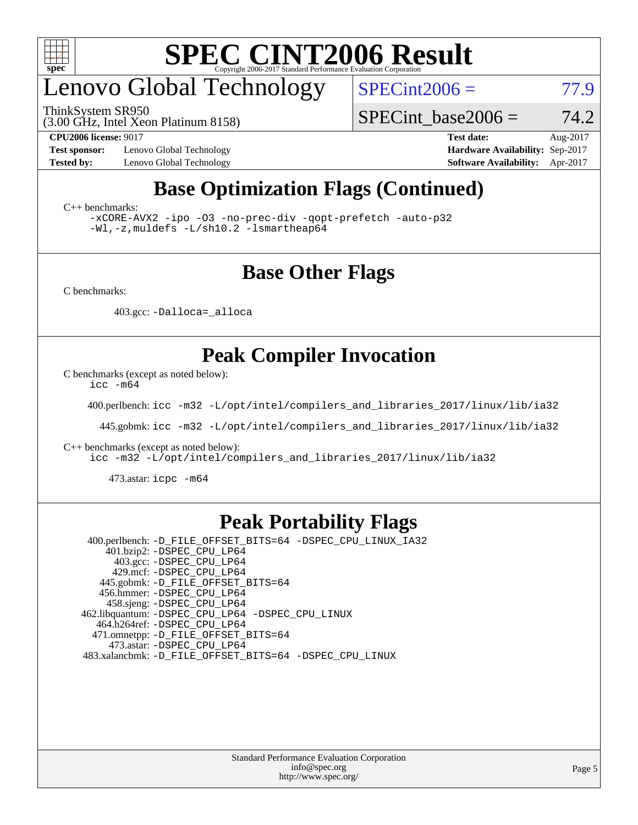

# enovo Global Technology

ThinkSystem SR950

 $SPECint2006 = 77.9$  $SPECint2006 = 77.9$ 

(3.00 GHz, Intel Xeon Platinum 8158)

**[Test sponsor:](http://www.spec.org/auto/cpu2006/Docs/result-fields.html#Testsponsor)** Lenovo Global Technology **[Hardware Availability:](http://www.spec.org/auto/cpu2006/Docs/result-fields.html#HardwareAvailability)** Sep-2017

SPECint base2006 =  $74.2$ **[CPU2006 license:](http://www.spec.org/auto/cpu2006/Docs/result-fields.html#CPU2006license)** 9017 **[Test date:](http://www.spec.org/auto/cpu2006/Docs/result-fields.html#Testdate)** Aug-2017

**[Tested by:](http://www.spec.org/auto/cpu2006/Docs/result-fields.html#Testedby)** Lenovo Global Technology **[Software Availability:](http://www.spec.org/auto/cpu2006/Docs/result-fields.html#SoftwareAvailability)** Apr-2017

### **[Base Optimization Flags \(Continued\)](http://www.spec.org/auto/cpu2006/Docs/result-fields.html#BaseOptimizationFlags)**

[C++ benchmarks:](http://www.spec.org/auto/cpu2006/Docs/result-fields.html#CXXbenchmarks)

[-xCORE-AVX2](http://www.spec.org/cpu2006/results/res2017q4/cpu2006-20170917-49362.flags.html#user_CXXbase_f-xCORE-AVX2) [-ipo](http://www.spec.org/cpu2006/results/res2017q4/cpu2006-20170917-49362.flags.html#user_CXXbase_f-ipo) [-O3](http://www.spec.org/cpu2006/results/res2017q4/cpu2006-20170917-49362.flags.html#user_CXXbase_f-O3) [-no-prec-div](http://www.spec.org/cpu2006/results/res2017q4/cpu2006-20170917-49362.flags.html#user_CXXbase_f-no-prec-div) [-qopt-prefetch](http://www.spec.org/cpu2006/results/res2017q4/cpu2006-20170917-49362.flags.html#user_CXXbase_f-qopt-prefetch) [-auto-p32](http://www.spec.org/cpu2006/results/res2017q4/cpu2006-20170917-49362.flags.html#user_CXXbase_f-auto-p32) [-Wl,-z,muldefs](http://www.spec.org/cpu2006/results/res2017q4/cpu2006-20170917-49362.flags.html#user_CXXbase_link_force_multiple1_74079c344b956b9658436fd1b6dd3a8a) [-L/sh10.2 -lsmartheap64](http://www.spec.org/cpu2006/results/res2017q4/cpu2006-20170917-49362.flags.html#user_CXXbase_SmartHeap64_63911d860fc08c15fa1d5bf319b9d8d5)

#### **[Base Other Flags](http://www.spec.org/auto/cpu2006/Docs/result-fields.html#BaseOtherFlags)**

[C benchmarks](http://www.spec.org/auto/cpu2006/Docs/result-fields.html#Cbenchmarks):

403.gcc: [-Dalloca=\\_alloca](http://www.spec.org/cpu2006/results/res2017q4/cpu2006-20170917-49362.flags.html#b403.gcc_baseEXTRA_CFLAGS_Dalloca_be3056838c12de2578596ca5467af7f3)

### **[Peak Compiler Invocation](http://www.spec.org/auto/cpu2006/Docs/result-fields.html#PeakCompilerInvocation)**

[C benchmarks \(except as noted below\)](http://www.spec.org/auto/cpu2006/Docs/result-fields.html#Cbenchmarksexceptasnotedbelow):

[icc -m64](http://www.spec.org/cpu2006/results/res2017q4/cpu2006-20170917-49362.flags.html#user_CCpeak_intel_icc_64bit_bda6cc9af1fdbb0edc3795bac97ada53)

400.perlbench: [icc -m32 -L/opt/intel/compilers\\_and\\_libraries\\_2017/linux/lib/ia32](http://www.spec.org/cpu2006/results/res2017q4/cpu2006-20170917-49362.flags.html#user_peakCCLD400_perlbench_intel_icc_c29f3ff5a7ed067b11e4ec10a03f03ae)

445.gobmk: [icc -m32 -L/opt/intel/compilers\\_and\\_libraries\\_2017/linux/lib/ia32](http://www.spec.org/cpu2006/results/res2017q4/cpu2006-20170917-49362.flags.html#user_peakCCLD445_gobmk_intel_icc_c29f3ff5a7ed067b11e4ec10a03f03ae)

[C++ benchmarks \(except as noted below\):](http://www.spec.org/auto/cpu2006/Docs/result-fields.html#CXXbenchmarksexceptasnotedbelow)

[icc -m32 -L/opt/intel/compilers\\_and\\_libraries\\_2017/linux/lib/ia32](http://www.spec.org/cpu2006/results/res2017q4/cpu2006-20170917-49362.flags.html#user_CXXpeak_intel_icc_c29f3ff5a7ed067b11e4ec10a03f03ae)

473.astar: [icpc -m64](http://www.spec.org/cpu2006/results/res2017q4/cpu2006-20170917-49362.flags.html#user_peakCXXLD473_astar_intel_icpc_64bit_fc66a5337ce925472a5c54ad6a0de310)

#### **[Peak Portability Flags](http://www.spec.org/auto/cpu2006/Docs/result-fields.html#PeakPortabilityFlags)**

 400.perlbench: [-D\\_FILE\\_OFFSET\\_BITS=64](http://www.spec.org/cpu2006/results/res2017q4/cpu2006-20170917-49362.flags.html#user_peakPORTABILITY400_perlbench_file_offset_bits_64_438cf9856305ebd76870a2c6dc2689ab) [-DSPEC\\_CPU\\_LINUX\\_IA32](http://www.spec.org/cpu2006/results/res2017q4/cpu2006-20170917-49362.flags.html#b400.perlbench_peakCPORTABILITY_DSPEC_CPU_LINUX_IA32) 401.bzip2: [-DSPEC\\_CPU\\_LP64](http://www.spec.org/cpu2006/results/res2017q4/cpu2006-20170917-49362.flags.html#suite_peakPORTABILITY401_bzip2_DSPEC_CPU_LP64) 403.gcc: [-DSPEC\\_CPU\\_LP64](http://www.spec.org/cpu2006/results/res2017q4/cpu2006-20170917-49362.flags.html#suite_peakPORTABILITY403_gcc_DSPEC_CPU_LP64) 429.mcf: [-DSPEC\\_CPU\\_LP64](http://www.spec.org/cpu2006/results/res2017q4/cpu2006-20170917-49362.flags.html#suite_peakPORTABILITY429_mcf_DSPEC_CPU_LP64) 445.gobmk: [-D\\_FILE\\_OFFSET\\_BITS=64](http://www.spec.org/cpu2006/results/res2017q4/cpu2006-20170917-49362.flags.html#user_peakPORTABILITY445_gobmk_file_offset_bits_64_438cf9856305ebd76870a2c6dc2689ab) 456.hmmer: [-DSPEC\\_CPU\\_LP64](http://www.spec.org/cpu2006/results/res2017q4/cpu2006-20170917-49362.flags.html#suite_peakPORTABILITY456_hmmer_DSPEC_CPU_LP64) 458.sjeng: [-DSPEC\\_CPU\\_LP64](http://www.spec.org/cpu2006/results/res2017q4/cpu2006-20170917-49362.flags.html#suite_peakPORTABILITY458_sjeng_DSPEC_CPU_LP64) 462.libquantum: [-DSPEC\\_CPU\\_LP64](http://www.spec.org/cpu2006/results/res2017q4/cpu2006-20170917-49362.flags.html#suite_peakPORTABILITY462_libquantum_DSPEC_CPU_LP64) [-DSPEC\\_CPU\\_LINUX](http://www.spec.org/cpu2006/results/res2017q4/cpu2006-20170917-49362.flags.html#b462.libquantum_peakCPORTABILITY_DSPEC_CPU_LINUX) 464.h264ref: [-DSPEC\\_CPU\\_LP64](http://www.spec.org/cpu2006/results/res2017q4/cpu2006-20170917-49362.flags.html#suite_peakPORTABILITY464_h264ref_DSPEC_CPU_LP64) 471.omnetpp: [-D\\_FILE\\_OFFSET\\_BITS=64](http://www.spec.org/cpu2006/results/res2017q4/cpu2006-20170917-49362.flags.html#user_peakPORTABILITY471_omnetpp_file_offset_bits_64_438cf9856305ebd76870a2c6dc2689ab) 473.astar: [-DSPEC\\_CPU\\_LP64](http://www.spec.org/cpu2006/results/res2017q4/cpu2006-20170917-49362.flags.html#suite_peakPORTABILITY473_astar_DSPEC_CPU_LP64) 483.xalancbmk: [-D\\_FILE\\_OFFSET\\_BITS=64](http://www.spec.org/cpu2006/results/res2017q4/cpu2006-20170917-49362.flags.html#user_peakPORTABILITY483_xalancbmk_file_offset_bits_64_438cf9856305ebd76870a2c6dc2689ab) [-DSPEC\\_CPU\\_LINUX](http://www.spec.org/cpu2006/results/res2017q4/cpu2006-20170917-49362.flags.html#b483.xalancbmk_peakCXXPORTABILITY_DSPEC_CPU_LINUX)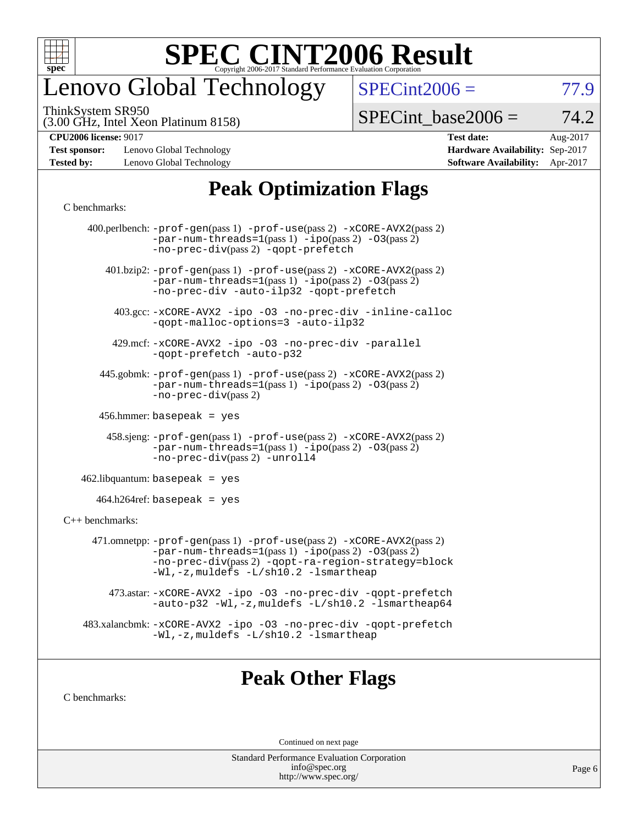

# enovo Global Technology

ThinkSystem SR950

 $SPECint2006 = 77.9$  $SPECint2006 = 77.9$ 

(3.00 GHz, Intel Xeon Platinum 8158)

 $SPECTnt\_base2006 = 74.2$ 

**[Test sponsor:](http://www.spec.org/auto/cpu2006/Docs/result-fields.html#Testsponsor)** Lenovo Global Technology **[Hardware Availability:](http://www.spec.org/auto/cpu2006/Docs/result-fields.html#HardwareAvailability)** Sep-2017 **[Tested by:](http://www.spec.org/auto/cpu2006/Docs/result-fields.html#Testedby)** Lenovo Global Technology **[Software Availability:](http://www.spec.org/auto/cpu2006/Docs/result-fields.html#SoftwareAvailability)** Apr-2017

**[CPU2006 license:](http://www.spec.org/auto/cpu2006/Docs/result-fields.html#CPU2006license)** 9017 **[Test date:](http://www.spec.org/auto/cpu2006/Docs/result-fields.html#Testdate)** Aug-2017

### **[Peak Optimization Flags](http://www.spec.org/auto/cpu2006/Docs/result-fields.html#PeakOptimizationFlags)**

#### [C benchmarks](http://www.spec.org/auto/cpu2006/Docs/result-fields.html#Cbenchmarks):

|                              | 400.perlbench: $-prof-gen(pass 1)$ $-prof-use(pass 2)$ $-xCORE-AVX2(pass 2)$<br>$-par-num-threads=1(pass 1) -ipo(pass 2) -03(pass 2)$<br>-no-prec-div(pass 2) -qopt-prefetch                                                        |  |  |  |  |  |
|------------------------------|-------------------------------------------------------------------------------------------------------------------------------------------------------------------------------------------------------------------------------------|--|--|--|--|--|
|                              | $401 \text{ bzip2: } -\text{prof-gen(pass 1)} - \text{prof-use(pass 2)} - \text{xCORE-AVX2(pass 2)}$<br>$-par-num-threads=1(pass 1) -ipo(pass 2) -03(pass 2)$<br>-no-prec-div -auto-ilp32 -qopt-prefetch                            |  |  |  |  |  |
|                              | 403.gcc: -xCORE-AVX2 -ipo -03 -no-prec-div -inline-calloc<br>-qopt-malloc-options=3 -auto-ilp32                                                                                                                                     |  |  |  |  |  |
|                              | 429.mcf: -xCORE-AVX2 -ipo -03 -no-prec-div -parallel<br>-gopt-prefetch -auto-p32                                                                                                                                                    |  |  |  |  |  |
|                              | 445.gobmk: -prof-gen(pass 1) -prof-use(pass 2) -xCORE-AVX2(pass 2)<br>$-par-num-threads=1(pass 1) -ipo(pass 2) -03(pass 2)$<br>$-no-prec-div(pass 2)$                                                                               |  |  |  |  |  |
| $456.$ hmmer: basepeak = yes |                                                                                                                                                                                                                                     |  |  |  |  |  |
|                              | $458 \text{.}$ sjeng: $-\text{prof-gen(pass 1)} - \text{prof-use(pass 2)} - \text{xCORE-AVX2(pass 2)}$<br>$-par-num-threads=1(pass 1) -ipo(pass 2) -03(pass 2)$<br>-no-prec-div(pass 2) -unroll4                                    |  |  |  |  |  |
|                              | $462$ .libquantum: basepeak = yes                                                                                                                                                                                                   |  |  |  |  |  |
|                              | $464.h264$ ref: basepeak = yes                                                                                                                                                                                                      |  |  |  |  |  |
| $C++$ benchmarks:            |                                                                                                                                                                                                                                     |  |  |  |  |  |
|                              | 471.omnetpp: $-prof-gen(pass 1)$ $-prof-use(pass 2)$ $-xCORE-AVX2(pass 2)$<br>$-par-num-threads=1(pass 1) -ipo(pass 2) -03(pass 2)$<br>-no-prec-div(pass 2) -qopt-ra-region-strategy=block<br>-Wl,-z, muldefs -L/sh10.2 -lsmartheap |  |  |  |  |  |
|                              | 473.astar: -xCORE-AVX2 -ipo -03 -no-prec-div -qopt-prefetch<br>-auto-p32 -Wl,-z, muldefs -L/sh10.2 -lsmartheap64                                                                                                                    |  |  |  |  |  |
|                              | 483.xalancbmk: -xCORE-AVX2 -ipo -03 -no-prec-div -qopt-prefetch<br>-Wl,-z, muldefs -L/sh10.2 -lsmartheap                                                                                                                            |  |  |  |  |  |
|                              |                                                                                                                                                                                                                                     |  |  |  |  |  |
|                              |                                                                                                                                                                                                                                     |  |  |  |  |  |

#### **[Peak Other Flags](http://www.spec.org/auto/cpu2006/Docs/result-fields.html#PeakOtherFlags)**

[C benchmarks](http://www.spec.org/auto/cpu2006/Docs/result-fields.html#Cbenchmarks):

Continued on next page

Standard Performance Evaluation Corporation [info@spec.org](mailto:info@spec.org) <http://www.spec.org/>